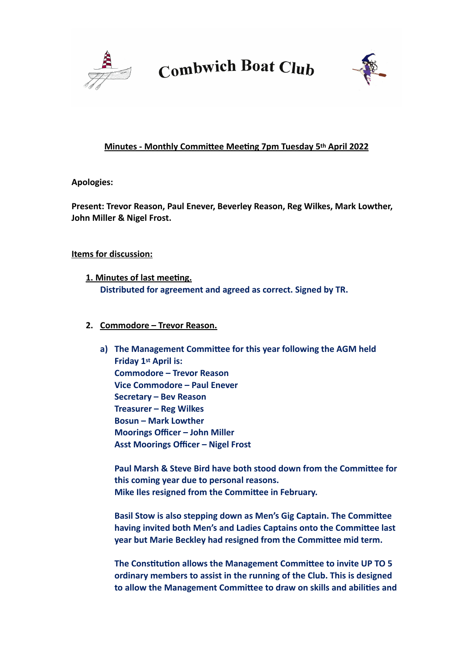



#### **Minutes - Monthly Committee Meeting 7pm Tuesday 5th April 2022**

**Apologies:** 

**Present: Trevor Reason, Paul Enever, Beverley Reason, Reg Wilkes, Mark Lowther, John Miller & Nigel Frost.**

#### **Items for discussion:**

- **1. Minutes of last meeting. Distributed for agreement and agreed as correct. Signed by TR.**
- **2. Commodore Trevor Reason.**
	- **a) The Management Committee for this year following the AGM held Friday 1st April is: Commodore – Trevor Reason Vice Commodore – Paul Enever Secretary – Bev Reason Treasurer – Reg Wilkes Bosun – Mark Lowther Moorings Officer – John Miller Asst Moorings Officer – Nigel Frost**

**Paul Marsh & Steve Bird have both stood down from the Committee for this coming year due to personal reasons. Mike Iles resigned from the Committee in February.**

**Basil Stow is also stepping down as Men's Gig Captain. The Committee having invited both Men's and Ladies Captains onto the Committee last year but Marie Beckley had resigned from the Committee mid term.**

**The Constitution allows the Management Committee to invite UP TO 5 ordinary members to assist in the running of the Club. This is designed to allow the Management Committee to draw on skills and abilities and**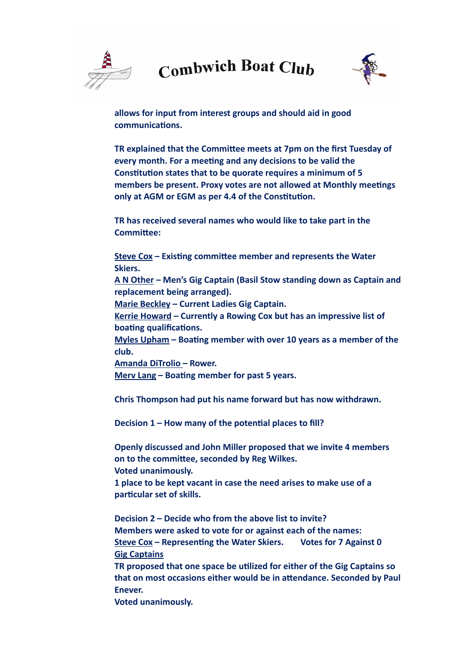

**allows for input from interest groups and should aid in good communications.**

**TR explained that the Committee meets at 7pm on the first Tuesday of every month. For a meeting and any decisions to be valid the Constitution states that to be quorate requires a minimum of 5 members be present. Proxy votes are not allowed at Monthly meetings only at AGM or EGM as per 4.4 of the Constitution.**

**TR has received several names who would like to take part in the Committee:**

**Steve Cox – Existing committee member and represents the Water Skiers.**

**A N Other – Men's Gig Captain (Basil Stow standing down as Captain and replacement being arranged).**

**Marie Beckley – Current Ladies Gig Captain.**

**Kerrie Howard – Currently a Rowing Cox but has an impressive list of boating qualifications.**

**Myles Upham – Boating member with over 10 years as a member of the club.**

**Amanda DiTrolio – Rower.**

**Merv Lang – Boating member for past 5 years.**

**Chris Thompson had put his name forward but has now withdrawn.**

**Decision 1 – How many of the potential places to fill?**

**Openly discussed and John Miller proposed that we invite 4 members on to the committee, seconded by Reg Wilkes. Voted unanimously.**

**1 place to be kept vacant in case the need arises to make use of a particular set of skills.**

**Decision 2 – Decide who from the above list to invite? Members were asked to vote for or against each of the names: Steve Cox – Representing the Water Skiers. Votes for 7 Against 0 Gig Captains**

**TR proposed that one space be utilized for either of the Gig Captains so that on most occasions either would be in attendance. Seconded by Paul Enever.**

**Voted unanimously.**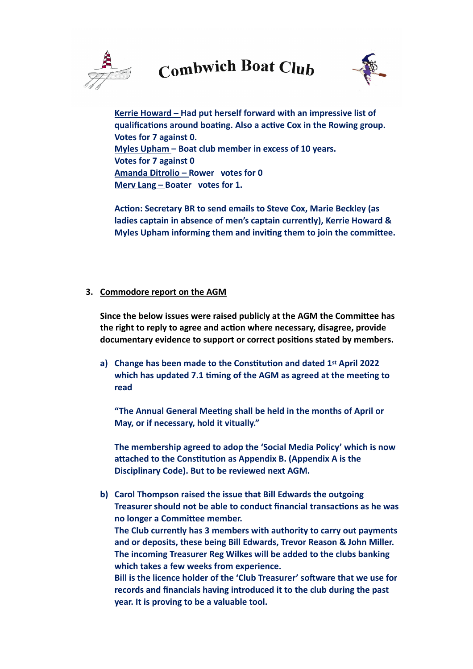



**Kerrie Howard – Had put herself forward with an impressive list of qualifications around boating. Also a active Cox in the Rowing group. Votes for 7 against 0. Myles Upham – Boat club member in excess of 10 years. Votes for 7 against 0 Amanda Ditrolio – Rower votes for 0 Merv Lang – Boater votes for 1.**

**Action: Secretary BR to send emails to Steve Cox, Marie Beckley (as ladies captain in absence of men's captain currently), Kerrie Howard & Myles Upham informing them and inviting them to join the committee.**

#### **3. Commodore report on the AGM**

**Since the below issues were raised publicly at the AGM the Committee has the right to reply to agree and action where necessary, disagree, provide documentary evidence to support or correct positions stated by members.**

**a) Change has been made to the Constitution and dated 1st April 2022 which has updated 7.1 timing of the AGM as agreed at the meeting to read** 

**"The Annual General Meeting shall be held in the months of April or May, or if necessary, hold it vitually."**

**The membership agreed to adop the 'Social Media Policy' which is now attached to the Constitution as Appendix B. (Appendix A is the Disciplinary Code). But to be reviewed next AGM.**

**b) Carol Thompson raised the issue that Bill Edwards the outgoing Treasurer should not be able to conduct financial transactions as he was no longer a Committee member. The Club currently has 3 members with authority to carry out payments and or deposits, these being Bill Edwards, Trevor Reason & John Miller. The incoming Treasurer Reg Wilkes will be added to the clubs banking which takes a few weeks from experience. Bill is the licence holder of the 'Club Treasurer' software that we use for records and financials having introduced it to the club during the past** 

**year. It is proving to be a valuable tool.**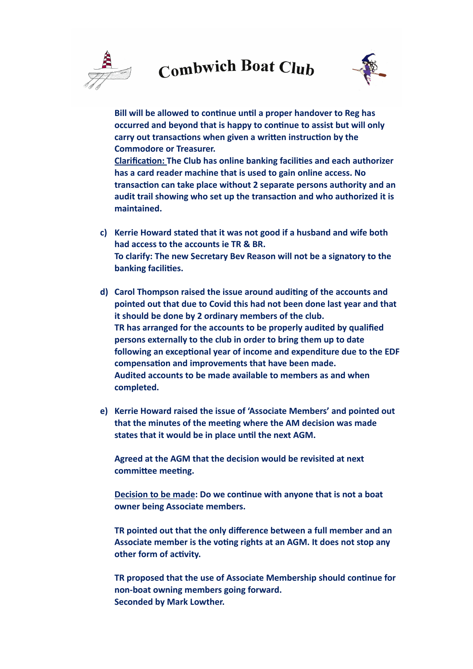

**Bill will be allowed to continue until a proper handover to Reg has occurred and beyond that is happy to continue to assist but will only carry out transactions when given a written instruction by the Commodore or Treasurer.**

**Clarification: The Club has online banking facilities and each authorizer has a card reader machine that is used to gain online access. No transaction can take place without 2 separate persons authority and an audit trail showing who set up the transaction and who authorized it is maintained.**

- **c) Kerrie Howard stated that it was not good if a husband and wife both had access to the accounts ie TR & BR. To clarify: The new Secretary Bev Reason will not be a signatory to the banking facilities.**
- **d) Carol Thompson raised the issue around auditing of the accounts and pointed out that due to Covid this had not been done last year and that it should be done by 2 ordinary members of the club. TR has arranged for the accounts to be properly audited by qualified persons externally to the club in order to bring them up to date following an exceptional year of income and expenditure due to the EDF compensation and improvements that have been made. Audited accounts to be made available to members as and when completed.**
- **e) Kerrie Howard raised the issue of 'Associate Members' and pointed out that the minutes of the meeting where the AM decision was made states that it would be in place until the next AGM.**

**Agreed at the AGM that the decision would be revisited at next committee meeting.**

**Decision to be made: Do we continue with anyone that is not a boat owner being Associate members.**

**TR pointed out that the only difference between a full member and an Associate member is the voting rights at an AGM. It does not stop any other form of activity.**

**TR proposed that the use of Associate Membership should continue for non-boat owning members going forward. Seconded by Mark Lowther.**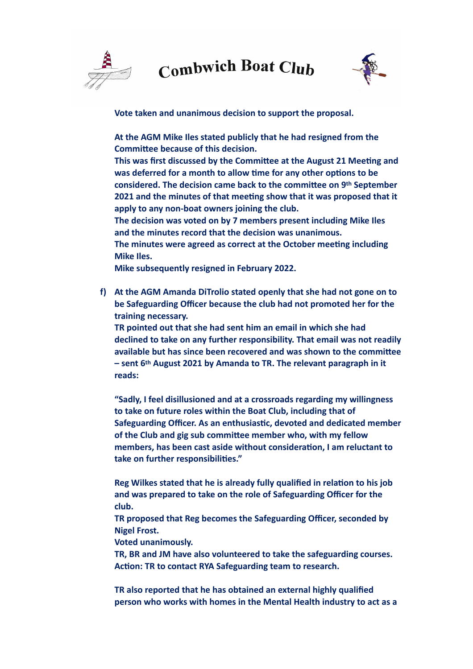



**Vote taken and unanimous decision to support the proposal.**

**At the AGM Mike Iles stated publicly that he had resigned from the Committee because of this decision.**

**This was first discussed by the Committee at the August 21 Meeting and was deferred for a month to allow time for any other options to be considered. The decision came back to the committee on 9th September 2021 and the minutes of that meeting show that it was proposed that it apply to any non-boat owners joining the club.** 

**The decision was voted on by 7 members present including Mike Iles and the minutes record that the decision was unanimous.**

**The minutes were agreed as correct at the October meeting including Mike Iles.**

**Mike subsequently resigned in February 2022.**

**f) At the AGM Amanda DiTrolio stated openly that she had not gone on to be Safeguarding Officer because the club had not promoted her for the training necessary.**

**TR pointed out that she had sent him an email in which she had declined to take on any further responsibility. That email was not readily available but has since been recovered and was shown to the committee – sent 6th August 2021 by Amanda to TR. The relevant paragraph in it reads:**

**"Sadly, I feel disillusioned and at a crossroads regarding my willingness to take on future roles within the Boat Club, including that of Safeguarding Officer. As an enthusiastic, devoted and dedicated member of the Club and gig sub committee member who, with my fellow members, has been cast aside without consideration, I am reluctant to take on further responsibilities."**

**Reg Wilkes stated that he is already fully qualified in relation to his job and was prepared to take on the role of Safeguarding Officer for the club.** 

**TR proposed that Reg becomes the Safeguarding Officer, seconded by Nigel Frost.**

**Voted unanimously.**

**TR, BR and JM have also volunteered to take the safeguarding courses. Action: TR to contact RYA Safeguarding team to research.**

**TR also reported that he has obtained an external highly qualified person who works with homes in the Mental Health industry to act as a**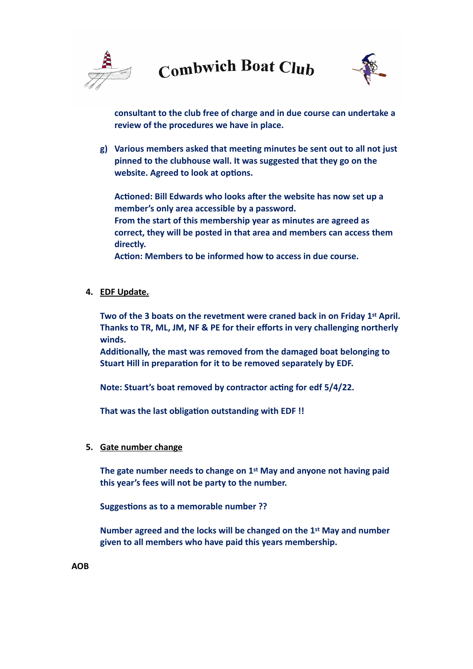



**consultant to the club free of charge and in due course can undertake a review of the procedures we have in place.**

**g) Various members asked that meeting minutes be sent out to all not just pinned to the clubhouse wall. It was suggested that they go on the website. Agreed to look at options.**

**Actioned: Bill Edwards who looks after the website has now set up a member's only area accessible by a password. From the start of this membership year as minutes are agreed as correct, they will be posted in that area and members can access them directly.**

**Action: Members to be informed how to access in due course.**

**4. EDF Update.**

**Two of the 3 boats on the revetment were craned back in on Friday 1st April. Thanks to TR, ML, JM, NF & PE for their efforts in very challenging northerly winds.**

**Additionally, the mast was removed from the damaged boat belonging to Stuart Hill in preparation for it to be removed separately by EDF.**

**Note: Stuart's boat removed by contractor acting for edf 5/4/22.**

**That was the last obligation outstanding with EDF !!**

**5. Gate number change**

**The gate number needs to change on 1st May and anyone not having paid this year's fees will not be party to the number.**

**Suggestions as to a memorable number ??**

**Number agreed and the locks will be changed on the 1st May and number given to all members who have paid this years membership.**

**AOB**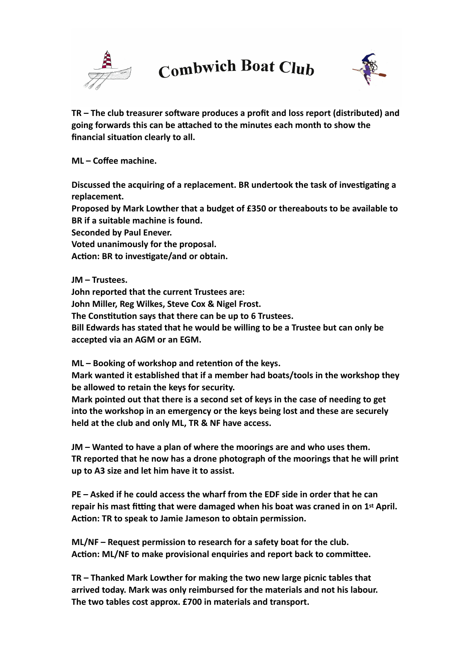



**TR – The club treasurer software produces a profit and loss report (distributed) and going forwards this can be attached to the minutes each month to show the financial situation clearly to all.**

**ML – Coffee machine.**

**Discussed the acquiring of a replacement. BR undertook the task of investigating a replacement.** 

**Proposed by Mark Lowther that a budget of £350 or thereabouts to be available to BR if a suitable machine is found.**

**Seconded by Paul Enever.**

**Voted unanimously for the proposal.**

**Action: BR to investigate/and or obtain.**

**JM – Trustees.** 

**John reported that the current Trustees are:**

**John Miller, Reg Wilkes, Steve Cox & Nigel Frost.**

**The Constitution says that there can be up to 6 Trustees.** 

**Bill Edwards has stated that he would be willing to be a Trustee but can only be accepted via an AGM or an EGM.**

**ML – Booking of workshop and retention of the keys.**

**Mark wanted it established that if a member had boats/tools in the workshop they be allowed to retain the keys for security.**

**Mark pointed out that there is a second set of keys in the case of needing to get into the workshop in an emergency or the keys being lost and these are securely held at the club and only ML, TR & NF have access.**

**JM – Wanted to have a plan of where the moorings are and who uses them. TR reported that he now has a drone photograph of the moorings that he will print up to A3 size and let him have it to assist.**

**PE – Asked if he could access the wharf from the EDF side in order that he can repair his mast fitting that were damaged when his boat was craned in on 1st April. Action: TR to speak to Jamie Jameson to obtain permission.**

**ML/NF – Request permission to research for a safety boat for the club. Action: ML/NF to make provisional enquiries and report back to committee.**

**TR – Thanked Mark Lowther for making the two new large picnic tables that arrived today. Mark was only reimbursed for the materials and not his labour. The two tables cost approx. £700 in materials and transport.**